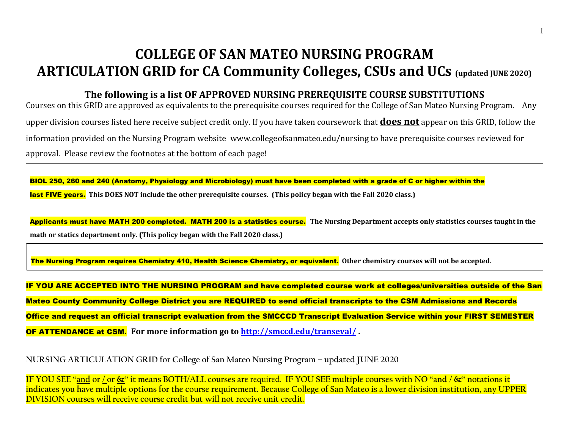# **COLLEGE OF SAN MATEO NURSING PROGRAM ARTICULATION GRID for CA Community Colleges, CSUs and UCs (updated JUNE 2020)**

### **The following is a list OF APPROVED NURSING PREREQUISITE COURSE SUBSTITUTIONS**

Courses on this GRID are approved as equivalents to the prerequisite courses required for the College of San Mateo Nursing Program. Any upper division courses listed here receive subject credit only. If you have taken coursework that **does not** appear on this GRID, follow the information provided on the Nursing Program website [www.collegeofsanmateo.edu/nursing](http://www.collegeofsanmateo.edu/nursing) to have prerequisite courses reviewed for approval. Please review the footnotes at the bottom of each page!

BIOL 250, 260 and 240 (Anatomy, Physiology and Microbiology) must have been completed with a grade of C or higher within the last FIVE years. **This DOES NOT include the other prerequisite courses. (This policy began with the Fall 2020 class.)**

Applicants must have MATH 200 completed. MATH 200 is a statistics course. **The Nursing Department accepts only statistics courses taught in the math or statics department only. (This policy began with the Fall 2020 class.)**

The Nursing Program requires Chemistry 410, Health Science Chemistry, or equivalent. **Other chemistry courses will not be accepted.** 

IF YOU ARE ACCEPTED INTO THE NURSING PROGRAM and have completed course work at colleges/universities outside of the San Mateo County Community College District you are REQUIRED to send official transcripts to the CSM Admissions and Records Office and request an official transcript evaluation from the SMCCCD Transcript Evaluation Service within your FIRST SEMESTER OF ATTENDANCE at CSM. **For more information go to<http://smccd.edu/transeval/> .** 

**NURSING ARTICULATION GRID for College of San Mateo Nursing Program – updated JUNE 2020**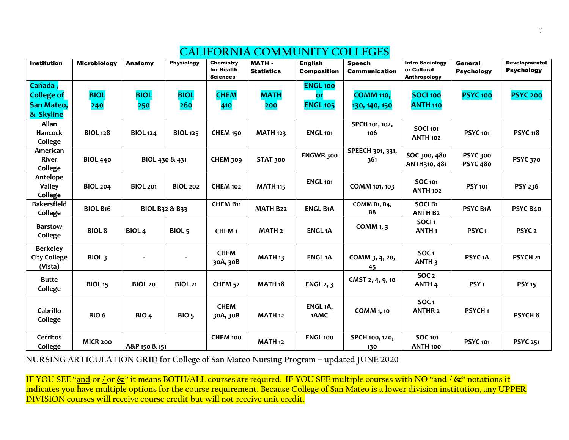| <b>Institution</b>            | <b>Microbiology</b> | Anatomy          | <b>Physiology</b> | Chemistry<br>for Health<br><b>Sciences</b> | <b>MATH-</b><br><b>Statistics</b> | <b>English</b><br><b>Composition</b> | <b>Speech</b><br><b>Communication</b> | <b>Intro Sociology</b><br>or Cultural<br>Anthropology | General<br><b>Psychology</b> | <b>Developmental</b><br><b>Psychology</b> |
|-------------------------------|---------------------|------------------|-------------------|--------------------------------------------|-----------------------------------|--------------------------------------|---------------------------------------|-------------------------------------------------------|------------------------------|-------------------------------------------|
| Cañada,                       |                     |                  |                   |                                            |                                   | <b>ENGL 100</b>                      |                                       |                                                       |                              |                                           |
| <b>College of</b>             | <b>BIOL</b>         | <b>BIOL</b>      | <b>BIOL</b>       | <b>CHEM</b>                                | <b>MATH</b>                       | <b>or</b>                            | <b>COMM 110,</b>                      | <b>SOCI 100</b>                                       | <b>PSYC 100</b>              | <b>PSYC 200</b>                           |
| San Mateo,                    | 240                 | 250              | 260               | 410                                        | 200                               | <b>ENGL 105</b>                      | 130, 140, 150                         | <b>ANTH 110</b>                                       |                              |                                           |
| & Skyline                     |                     |                  |                   |                                            |                                   |                                      |                                       |                                                       |                              |                                           |
| Allan                         |                     |                  |                   |                                            |                                   |                                      | SPCH 101, 102,                        |                                                       |                              |                                           |
| Hancock                       | <b>BIOL 128</b>     | <b>BIOL 124</b>  | <b>BIOL 125</b>   | <b>CHEM 150</b>                            | <b>MATH 123</b>                   | <b>ENGL 101</b>                      | 106                                   | <b>SOCI 101</b><br><b>ANTH 102</b>                    | <b>PSYC 101</b>              | <b>PSYC 118</b>                           |
| College                       |                     |                  |                   |                                            |                                   |                                      |                                       |                                                       |                              |                                           |
| American                      |                     |                  |                   |                                            |                                   | ENGWR 300                            | SPEECH 301, 331,                      | SOC 300, 480                                          | <b>PSYC 300</b>              |                                           |
| River                         | <b>BIOL 440</b>     | BIOL 430 & 431   |                   | <b>CHEM 309</b>                            | <b>STAT 300</b>                   |                                      | 361                                   | ANTH310, 481                                          | <b>PSYC 480</b>              | <b>PSYC 370</b>                           |
| College                       |                     |                  |                   |                                            |                                   |                                      |                                       |                                                       |                              |                                           |
| Antelope                      |                     |                  |                   |                                            |                                   | <b>ENGL 101</b>                      |                                       | <b>SOC 101</b>                                        |                              |                                           |
| <b>Valley</b>                 | <b>BIOL 204</b>     | <b>BIOL 201</b>  | <b>BIOL 202</b>   | <b>CHEM 102</b>                            | <b>MATH 115</b>                   |                                      | COMM 101, 103                         | <b>ANTH 102</b>                                       | <b>PSY 101</b>               | PSY 236                                   |
| College<br><b>Bakersfield</b> |                     |                  |                   | <b>CHEM B11</b>                            |                                   |                                      |                                       | <b>SOCI B1</b>                                        |                              |                                           |
| College                       | <b>BIOL B16</b>     | BIOL B32 & B33   |                   |                                            | <b>MATH B22</b>                   | <b>ENGL B1A</b>                      | COMM B1, B4,<br><b>B8</b>             | <b>ANTH B2</b>                                        | PSYC B1A                     | PSYC B40                                  |
|                               |                     |                  |                   |                                            |                                   |                                      |                                       | SOCI <sub>1</sub>                                     |                              |                                           |
| <b>Barstow</b>                | <b>BIOL 8</b>       | <b>BIOL4</b>     | BIOL <sub>5</sub> | CHEM <sub>1</sub>                          | <b>MATH 2</b>                     | <b>ENGL1A</b>                        | COMM 1, 3                             | ANTH <sub>1</sub>                                     | PSYC <sub>1</sub>            | PSYC <sub>2</sub>                         |
| College                       |                     |                  |                   |                                            |                                   |                                      |                                       |                                                       |                              |                                           |
| <b>Berkeley</b>               |                     |                  |                   |                                            |                                   |                                      |                                       |                                                       |                              |                                           |
| <b>City College</b>           | BIOL <sub>3</sub>   |                  |                   | <b>CHEM</b>                                | MATH <sub>13</sub>                | <b>ENGL1A</b>                        | COMM 3, 4, 20,                        | SOC <sub>1</sub>                                      | PSYC <sub>1</sub> A          | PSYCH <sub>21</sub>                       |
| (Vista)                       |                     |                  |                   | 30A, 30B                                   |                                   |                                      | 45                                    | <b>ANTH 3</b>                                         |                              |                                           |
| <b>Butte</b>                  |                     |                  |                   |                                            |                                   |                                      | CMST 2, 4, 9, 10                      | SOC <sub>2</sub>                                      |                              |                                           |
| College                       | <b>BIOL 15</b>      | <b>BIOL 20</b>   | <b>BIOL 21</b>    | <b>CHEM 52</b>                             | MATH <sub>18</sub>                | <b>ENGL 2, 3</b>                     |                                       | ANTH <sub>4</sub>                                     | PSY <sub>1</sub>             | <b>PSY 15</b>                             |
|                               |                     |                  |                   |                                            |                                   |                                      |                                       |                                                       |                              |                                           |
|                               |                     |                  |                   | <b>CHEM</b>                                |                                   | ENGL <sub>1</sub> A,                 |                                       | SOC <sub>1</sub>                                      |                              |                                           |
| Cabrillo                      | BIO <sub>6</sub>    | BIO <sub>4</sub> | BIO <sub>5</sub>  | 30A, 30B                                   | <b>MATH 12</b>                    | 1AMC                                 | <b>COMM 1, 10</b>                     | <b>ANTHR 2</b>                                        | PSYCH <sub>1</sub>           | <b>PSYCH 8</b>                            |
| College                       |                     |                  |                   |                                            |                                   |                                      |                                       |                                                       |                              |                                           |
| <b>Cerritos</b>               |                     |                  |                   | CHEM 100                                   |                                   | <b>ENGL 100</b>                      | SPCH 100, 120,                        | <b>SOC 101</b>                                        |                              |                                           |
| College                       | <b>MICR 200</b>     | A&P 150 & 151    |                   |                                            | <b>MATH 12</b>                    |                                      | 130                                   | ANTH <sub>100</sub>                                   | <b>PSYC 101</b>              | <b>PSYC 251</b>                           |

### **CALIFORNIA COMMUNITY COLLEGES**

**NURSING ARTICULATION GRID for College of San Mateo Nursing Program – updated JUNE 2020**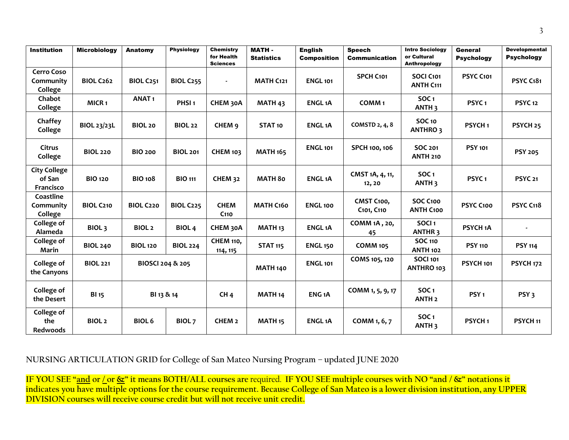| <b>Institution</b>                         | <b>Microbiology</b> | Anatomy          | <b>Physiology</b> | <b>Chemistry</b><br>for Health<br><b>Sciences</b> | <b>MATH-</b><br><b>Statistics</b> | <b>English</b><br><b>Composition</b> | <b>Speech</b><br><b>Communication</b> | <b>Intro Sociology</b><br>or Cultural<br>Anthropology | <b>General</b><br><b>Psychology</b> | <b>Developmental</b><br><b>Psychology</b> |
|--------------------------------------------|---------------------|------------------|-------------------|---------------------------------------------------|-----------------------------------|--------------------------------------|---------------------------------------|-------------------------------------------------------|-------------------------------------|-------------------------------------------|
| <b>Cerro Coso</b><br>Community<br>College  | <b>BIOL C262</b>    | <b>BIOL C251</b> | <b>BIOL C255</b>  |                                                   | <b>MATH C121</b>                  | <b>ENGL 101</b>                      | SPCH C101                             | SOCI C101<br><b>ANTH C111</b>                         | PSYC C101                           | PSYC C181                                 |
| Chabot<br>College                          | MICR <sub>1</sub>   | <b>ANAT1</b>     | PHSI <sub>1</sub> | CHEM 30A                                          | MATH <sub>43</sub>                | <b>ENGL1A</b>                        | COMM <sub>1</sub>                     | <b>SOC1</b><br>ANTH <sub>3</sub>                      | PSYC <sub>1</sub>                   | <b>PSYC 12</b>                            |
| Chaffey<br>College                         | <b>BIOL 23/23L</b>  | <b>BIOL 20</b>   | <b>BIOL 22</b>    | CHEM 9                                            | STAT <sub>10</sub>                | <b>ENGL1A</b>                        | <b>COMSTD 2, 4, 8</b>                 | <b>SOC 10</b><br><b>ANTHRO3</b>                       | PSYCH <sub>1</sub>                  | PSYCH <sub>25</sub>                       |
| <b>Citrus</b><br>College                   | <b>BIOL 220</b>     | <b>BIO 200</b>   | <b>BIOL 201</b>   | <b>CHEM 103</b>                                   | <b>MATH 165</b>                   | <b>ENGL 101</b>                      | SPCH 100, 106                         | SOC 201<br><b>ANTH 210</b>                            | <b>PSY 101</b>                      | <b>PSY 205</b>                            |
| <b>City College</b><br>of San<br>Francisco | <b>BIO 120</b>      | <b>BIO 108</b>   | <b>BIO 111</b>    | <b>CHEM 32</b>                                    | <b>MATH 80</b>                    | <b>ENGL1A</b>                        | CMST 1A, 4, 11,<br>12, 20             | SOC <sub>1</sub><br>ANTH <sub>3</sub>                 | PSYC <sub>1</sub>                   | <b>PSYC 21</b>                            |
| Coastline<br>Community<br>College          | <b>BIOL C210</b>    | <b>BIOL C220</b> | <b>BIOL C225</b>  | <b>CHEM</b><br>C <sub>110</sub>                   | <b>MATH C160</b>                  | <b>ENGL 100</b>                      | CMST C100,<br>C101, C110              | SOC C100<br><b>ANTH C100</b>                          | PSYC C100                           | <b>PSYC C118</b>                          |
| College of<br>Alameda                      | BIOL <sub>3</sub>   | <b>BIOL 2</b>    | <b>BIOL4</b>      | CHEM 30A                                          | MATH <sub>13</sub>                | <b>ENGL1A</b>                        | COMM 1A, 20,<br>45                    | SOCI <sub>1</sub><br><b>ANTHR3</b>                    | PSYCH <sub>1</sub> A                |                                           |
| College of<br>Marin                        | <b>BIOL 240</b>     | <b>BIOL 120</b>  | <b>BIOL 224</b>   | <b>CHEM 110,</b><br>114, 115                      | <b>STAT 115</b>                   | <b>ENGL 150</b>                      | <b>COMM 105</b>                       | <b>SOC 110</b><br><b>ANTH 102</b>                     | <b>PSY 110</b>                      | <b>PSY 114</b>                            |
| <b>College of</b><br>the Canyons           | <b>BIOL 221</b>     | BIOSCI 204 & 205 |                   |                                                   | <b>MATH 140</b>                   | <b>ENGL 101</b>                      | COMS 105, 120                         | <b>SOCI 101</b><br>ANTHRO 103                         | PSYCH <sub>101</sub>                | <b>PSYCH 172</b>                          |
| College of<br>the Desert                   | <b>BI</b> 15        | BI 13 & 14       |                   | CH <sub>4</sub>                                   | MATH <sub>14</sub>                | ENG <sub>1</sub> A                   | COMM 1, 5, 9, 17                      | SOC <sub>1</sub><br>ANTH <sub>2</sub>                 | PSY <sub>1</sub>                    | PSY <sub>3</sub>                          |
| <b>College of</b><br>the<br>Redwoods       | <b>BIOL2</b>        | <b>BIOL 6</b>    | BIOL <sub>7</sub> | CHEM <sub>2</sub>                                 | MATH <sub>15</sub>                | <b>ENGL1A</b>                        | COMM 1, 6, 7                          | SOC <sub>1</sub><br>ANTH <sub>3</sub>                 | PSYCH <sub>1</sub>                  | PSYCH <sub>11</sub>                       |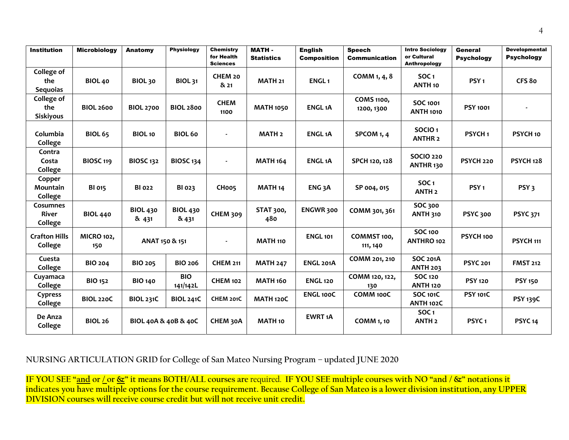| <b>Institution</b>                          | <b>Microbiology</b>      | Anatomy                  | <b>Physiology</b>        | <b>Chemistry</b><br>for Health<br><b>Sciences</b> | <b>MATH-</b><br><b>Statistics</b> | <b>English</b><br><b>Composition</b> | <b>Speech</b><br><b>Communication</b> | <b>Intro Sociology</b><br>or Cultural<br>Anthropology | General<br><b>Psychology</b> | <b>Developmental</b><br><b>Psychology</b> |
|---------------------------------------------|--------------------------|--------------------------|--------------------------|---------------------------------------------------|-----------------------------------|--------------------------------------|---------------------------------------|-------------------------------------------------------|------------------------------|-------------------------------------------|
| <b>College of</b><br>the<br><b>Sequoias</b> | <b>BIOL 40</b>           | BIOL <sub>30</sub>       | <b>BIOL 31</b>           | CHEM 20<br>$8x$ 21                                | MATH <sub>21</sub>                | <b>ENGL1</b>                         | COMM 1, 4, 8                          | SOC <sub>1</sub><br>ANTH <sub>10</sub>                | PSY <sub>1</sub>             | CFS 80                                    |
| College of<br>the<br><b>Siskiyous</b>       | <b>BIOL 2600</b>         | <b>BIOL 2700</b>         | <b>BIOL 2800</b>         | <b>CHEM</b><br>1100                               | <b>MATH 1050</b>                  | <b>ENGL1A</b>                        | <b>COMS 1100,</b><br>1200, 1300       | <b>SOC 1001</b><br><b>ANTH 1010</b>                   | <b>PSY 1001</b>              |                                           |
| Columbia<br>College                         | <b>BIOL 65</b>           | BIOL <sub>10</sub>       | <b>BIOL 60</b>           |                                                   | MATH <sub>2</sub>                 | <b>ENGL1A</b>                        | SPCOM 1, 4                            | SOCIO <sub>1</sub><br><b>ANTHR 2</b>                  | PSYCH <sub>1</sub>           | PSYCH <sub>10</sub>                       |
| Contra<br>Costa<br>College                  | <b>BIOSC 119</b>         | <b>BIOSC 132</b>         | <b>BIOSC 134</b>         | $\overline{\phantom{a}}$                          | <b>MATH 164</b>                   | <b>ENGL1A</b>                        | SPCH 120, 128                         | <b>SOCIO 220</b><br>ANTHR <sub>130</sub>              | PSYCH <sub>220</sub>         | <b>PSYCH 128</b>                          |
| Copper<br>Mountain<br>College               | <b>BI 015</b>            | <b>BI 022</b>            | BI 023                   | CHoo5                                             | MATH <sub>14</sub>                | ENG <sub>3</sub> A                   | SP 004, 015                           | <b>SOC1</b><br><b>ANTH 2</b>                          | PSY <sub>1</sub>             | PSY <sub>3</sub>                          |
| <b>Cosumnes</b><br><b>River</b><br>College  | <b>BIOL 440</b>          | <b>BIOL 430</b><br>& 431 | <b>BIOL 430</b><br>& 431 | <b>CHEM 309</b>                                   | STAT 300,<br>480                  | <b>ENGWR 300</b>                     | COMM 301, 361                         | <b>SOC 300</b><br><b>ANTH 310</b>                     | <b>PSYC 300</b>              | <b>PSYC 371</b>                           |
| <b>Crafton Hills</b><br>College             | <b>MICRO 102,</b><br>150 | ANAT 150 & 151           |                          |                                                   | <b>MATH 110</b>                   | <b>ENGL 101</b>                      | COMMST 100,<br>111, 140               | <b>SOC 100</b><br>ANTHRO 102                          | PSYCH 100                    | PSYCH <sub>111</sub>                      |
| Cuesta<br>College                           | <b>BIO 204</b>           | <b>BIO 205</b>           | <b>BIO 206</b>           | <b>CHEM 211</b>                                   | <b>MATH 247</b>                   | ENGL 201A                            | COMM 201, 210                         | <b>SOC 201A</b><br><b>ANTH 203</b>                    | <b>PSYC 201</b>              | <b>FMST 212</b>                           |
| Cuyamaca<br>College                         | <b>BIO 152</b>           | <b>BIO 140</b>           | <b>BIO</b><br>141/142L   | <b>CHEM 102</b>                                   | <b>MATH 160</b>                   | <b>ENGL 120</b>                      | COMM 120, 122,<br>130                 | <b>SOC 120</b><br><b>ANTH 120</b>                     | <b>PSY 120</b>               | <b>PSY 150</b>                            |
| Cypress<br>College                          | <b>BIOL 220C</b>         | <b>BIOL 231C</b>         | <b>BIOL 241C</b>         | CHEM 201C                                         | <b>MATH 120C</b>                  | <b>ENGL100C</b>                      | COMM 100C                             | <b>SOC 101C</b><br>ANTH 102C                          | <b>PSY 101C</b>              | <b>PSY 139C</b>                           |
| De Anza<br>College                          | <b>BIOL 26</b>           | BIOL 40A & 40B & 40C     |                          | CHEM 30A                                          | <b>MATH 10</b>                    | <b>EWRT 1A</b>                       | <b>COMM 1, 10</b>                     | SOC <sub>1</sub><br><b>ANTH<sub>2</sub></b>           | PSYC <sub>1</sub>            | PSYC <sub>14</sub>                        |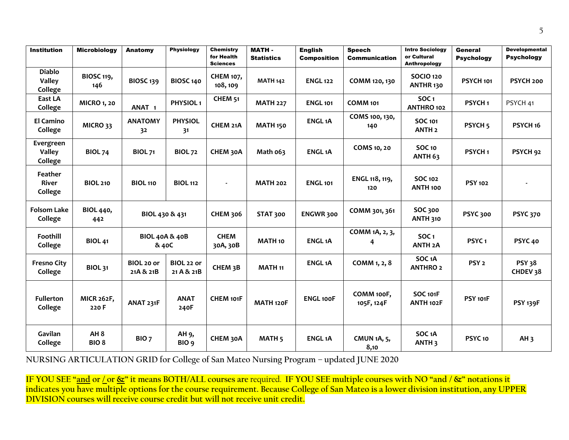| <b>Institution</b>                        | <b>Microbiology</b>                 | Anatomy                            | <b>Physiology</b>         | <b>Chemistry</b><br>for Health<br><b>Sciences</b> | <b>MATH-</b><br><b>Statistics</b> | <b>English</b><br><b>Composition</b> | <b>Speech</b><br><b>Communication</b> | <b>Intro Sociology</b><br>or Cultural<br><b>Anthropology</b> | <b>General</b><br><b>Psychology</b> | <b>Developmental</b><br><b>Psychology</b> |
|-------------------------------------------|-------------------------------------|------------------------------------|---------------------------|---------------------------------------------------|-----------------------------------|--------------------------------------|---------------------------------------|--------------------------------------------------------------|-------------------------------------|-------------------------------------------|
| <b>Diablo</b><br><b>Valley</b><br>College | <b>BIOSC 119,</b><br>146            | <b>BIOSC 139</b>                   | <b>BIOSC 140</b>          | <b>CHEM 107,</b><br>108, 109                      | <b>MATH 142</b>                   | <b>ENGL 122</b>                      | COMM 120, 130                         | <b>SOCIO 120</b><br>ANTHR 130                                | <b>PSYCH 101</b>                    | PSYCH 200                                 |
| East LA<br>College                        | <b>MICRO 1, 20</b>                  | ANAT <sub>1</sub>                  | PHYSIOL <sub>1</sub>      | CHEM <sub>51</sub>                                | <b>MATH 227</b>                   | <b>ENGL 101</b>                      | <b>COMM 101</b>                       | SOC <sub>1</sub><br>ANTHRO 102                               | PSYCH <sub>1</sub>                  | PSYCH 41                                  |
| <b>El Camino</b><br>College               | MICRO 33                            | <b>ANATOMY</b><br>32               | <b>PHYSIOL</b><br>31      | CHEM 21A                                          | <b>MATH 150</b>                   | <b>ENGL1A</b>                        | COMS 100, 130,<br>140                 | <b>SOC 101</b><br><b>ANTH 2</b>                              | PSYCH <sub>5</sub>                  | PSYCH <sub>16</sub>                       |
| Evergreen<br>Valley<br>College            | <b>BIOL 74</b>                      | <b>BIOL 71</b>                     | <b>BIOL 72</b>            | CHEM 30A                                          | Math 063                          | <b>ENGL1A</b>                        | COMS 10, 20                           | <b>SOC 10</b><br>ANTH <sub>63</sub>                          | PSYCH <sub>1</sub>                  | PSYCH <sub>92</sub>                       |
| <b>Feather</b><br>River<br>College        | <b>BIOL 210</b>                     | <b>BIOL 110</b>                    | <b>BIOL 112</b>           |                                                   | <b>MATH 202</b>                   | <b>ENGL 101</b>                      | ENGL 118, 119,<br>120                 | <b>SOC 102</b><br>ANTH <sub>100</sub>                        | <b>PSY 102</b>                      |                                           |
| <b>Folsom Lake</b><br>College             | <b>BIOL 440,</b><br>442             | BIOL 430 & 431                     |                           | <b>CHEM 306</b>                                   | <b>STAT 300</b>                   | ENGWR 300                            | COMM 301, 361                         | <b>SOC 300</b><br><b>ANTH 310</b>                            | <b>PSYC 300</b>                     | <b>PSYC 370</b>                           |
| Foothill<br>College                       | <b>BIOL 41</b>                      | <b>BIOL 40A &amp; 40B</b><br>& 40C |                           | <b>CHEM</b><br>30A, 30B                           | <b>MATH 10</b>                    | <b>ENGL1A</b>                        | COMM 1A, 2, 3,<br>4                   | SOC <sub>1</sub><br><b>ANTH 2A</b>                           | PSYC <sub>1</sub>                   | PSYC <sub>40</sub>                        |
| <b>Fresno City</b><br>College             | <b>BIOL 31</b>                      | BIOL 20 or<br>21A & 21B            | BIOL 22 or<br>21 A & 21B  | CHEM <sub>3</sub> B                               | <b>MATH 11</b>                    | <b>ENGL1A</b>                        | COMM 1, 2, 8                          | SOC <sub>1</sub> A<br><b>ANTHRO 2</b>                        | PSY <sub>2</sub>                    | <b>PSY 38</b><br>CHDEV 38                 |
| <b>Fullerton</b><br>College               | <b>MICR 262F,</b><br>220 F          | ANAT 231F                          | <b>ANAT</b><br>240F       | CHEM 101F                                         | MATH 120F                         | <b>ENGL100F</b>                      | COMM 100F,<br>105F, 124F              | <b>SOC 101F</b><br>ANTH 102F                                 | <b>PSY 101F</b>                     | <b>PSY 139F</b>                           |
| Gavilan<br>College                        | AH <sub>8</sub><br>BIO <sub>8</sub> | BIO <sub>7</sub>                   | AH 9,<br>BIO <sub>9</sub> | CHEM 30A                                          | MATH <sub>5</sub>                 | <b>ENGL1A</b>                        | <b>CMUN 1A, 5,</b><br>8,10            | SOC <sub>1</sub> A<br>ANTH <sub>3</sub>                      | PSYC <sub>10</sub>                  | AH <sub>3</sub>                           |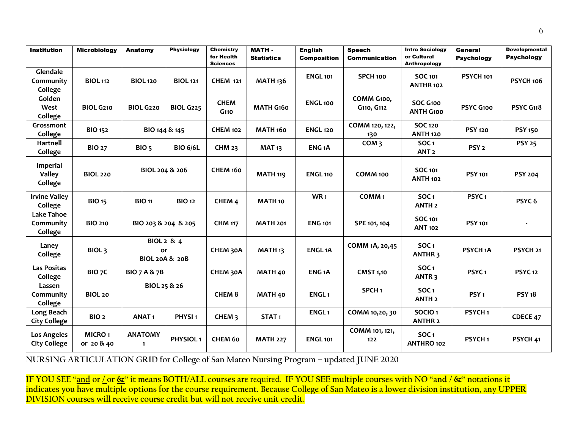| <b>Institution</b>                          | <b>Microbiology</b>         | <b>Anatomy</b>                  | <b>Physiology</b>     | <b>Chemistry</b><br>for Health<br><b>Sciences</b> | <b>MATH-</b><br><b>Statistics</b> | <b>English</b><br><b>Composition</b> | <b>Speech</b><br><b>Communication</b> | <b>Intro Sociology</b><br>or Cultural<br>Anthropology | General<br><b>Psychology</b> | <b>Developmental</b><br><b>Psychology</b> |
|---------------------------------------------|-----------------------------|---------------------------------|-----------------------|---------------------------------------------------|-----------------------------------|--------------------------------------|---------------------------------------|-------------------------------------------------------|------------------------------|-------------------------------------------|
| Glendale<br>Community<br>College            | <b>BIOL 112</b>             | <b>BIOL 120</b>                 | <b>BIOL 121</b>       | <b>CHEM 121</b>                                   | <b>MATH 136</b>                   | <b>ENGL 101</b>                      | SPCH 100                              | <b>SOC 101</b><br><b>ANTHR 102</b>                    | <b>PSYCH 101</b>             | <b>PSYCH 106</b>                          |
| Golden<br>West<br>College                   | <b>BIOL G210</b>            | <b>BIOL G220</b>                | <b>BIOL G225</b>      | <b>CHEM</b><br>$G$ 110                            | MATH G160                         | <b>ENGL 100</b>                      | COMM G100,<br>G110, G112              | SOC G100<br><b>ANTH G100</b>                          | PSYC G100                    | <b>PSYC G118</b>                          |
| Grossmont<br>College                        | <b>BIO 152</b>              | BIO 144 & 145                   |                       | <b>CHEM 102</b>                                   | <b>MATH 160</b>                   | <b>ENGL 120</b>                      | COMM 120, 122,<br>130                 | <b>SOC 120</b><br><b>ANTH 120</b>                     | <b>PSY 120</b>               | <b>PSY 150</b>                            |
| Hartnell<br>College                         | <b>BIO 27</b>               | BIO <sub>5</sub>                | <b>BIO 6/6L</b>       | <b>CHM 23</b>                                     | <b>MAT 13</b>                     | ENG <sub>1</sub> A                   | COM <sub>3</sub>                      | SOC <sub>1</sub><br>ANT <sub>2</sub>                  | PSY <sub>2</sub>             | <b>PSY 25</b>                             |
| <b>Imperial</b><br><b>Valley</b><br>College | <b>BIOL 220</b>             | BIOL 204 & 206                  |                       | CHEM 160                                          | <b>MATH 119</b>                   | <b>ENGL 110</b>                      | COMM 100                              | <b>SOC 101</b><br><b>ANTH 102</b>                     | <b>PSY 101</b>               | <b>PSY 204</b>                            |
| <b>Irvine Valley</b><br>College             | <b>BIO 15</b>               | <b>BIO 11</b>                   | <b>BIO 12</b>         | CHEM <sub>4</sub>                                 | <b>MATH 10</b>                    | WR <sub>1</sub>                      | COMM <sub>1</sub>                     | SOC <sub>1</sub><br><b>ANTH<sub>2</sub></b>           | PSYC <sub>1</sub>            | PSYC <sub>6</sub>                         |
| <b>Lake Tahoe</b><br>Community<br>College   | <b>BIO 210</b>              | BIO 203 & 204 & 205             |                       | <b>CHM 117</b>                                    | <b>MATH 201</b>                   | <b>ENG 101</b>                       | SPE 101, 104                          | <b>SOC 101</b><br><b>ANT 102</b>                      | <b>PSY 101</b>               |                                           |
| Laney<br>College                            | BIOL <sub>3</sub>           | or<br><b>BIOL 20A &amp; 20B</b> | <b>BIOL 2 &amp; 4</b> | CHEM 30A                                          | MATH <sub>13</sub>                | <b>ENGL1A</b>                        | COMM 1A, 20,45                        | SOC <sub>1</sub><br>ANTHR <sub>3</sub>                | PSYCH <sub>1</sub> A         | PSYCH <sub>21</sub>                       |
| <b>Las Positas</b><br><b>College</b>        | BIO <sub>7</sub> C          | <b>BIO 7 A &amp; 7B</b>         |                       | CHEM 30A                                          | MATH 40                           | ENG <sub>1</sub> A                   | <b>CMST 1,10</b>                      | SOC <sub>1</sub><br>ANTR <sub>3</sub>                 | PSYC <sub>1</sub>            | <b>PSYC12</b>                             |
| Lassen<br>Community<br>College              | <b>BIOL 20</b>              | BIOL 25 & 26                    |                       | <b>CHEM 8</b>                                     | MATH 40                           | ENGL <sub>1</sub>                    | SPCH <sub>1</sub>                     | <b>SOC1</b><br><b>ANTH 2</b>                          | PSY <sub>1</sub>             | <b>PSY 18</b>                             |
| Long Beach<br><b>City College</b>           | BIO <sub>2</sub>            | <b>ANAT1</b>                    | PHYSI <sub>1</sub>    | CHEM <sub>3</sub>                                 | STAT <sub>1</sub>                 | ENGL <sub>1</sub>                    | COMM 10,20, 30                        | SOCIO <sub>1</sub><br><b>ANTHR 2</b>                  | PSYCH <sub>1</sub>           | CDECE 47                                  |
| <b>Los Angeles</b><br><b>City College</b>   | <b>MICRO1</b><br>or 20 & 40 | <b>ANATOMY</b><br>$\mathbf{1}$  | PHYSIOL <sub>1</sub>  | CHEM 60                                           | <b>MATH 227</b>                   | <b>ENGL 101</b>                      | COMM 101, 121,<br>$122$               | SOC <sub>1</sub><br>ANTHRO 102                        | PSYCH <sub>1</sub>           | PSYCH 41                                  |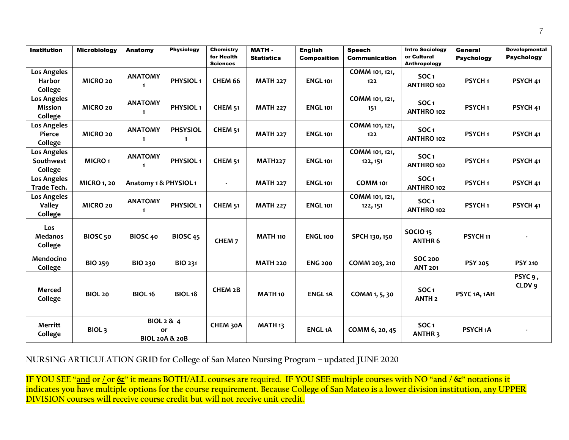| <b>Institution</b>           | <b>Microbiology</b> | Anatomy                   | <b>Physiology</b>    | <b>Chemistry</b>              | <b>MATH-</b>       | <b>English</b>     | <b>Speech</b>        | <b>Intro Sociology</b>                 | General              | <b>Developmental</b> |
|------------------------------|---------------------|---------------------------|----------------------|-------------------------------|--------------------|--------------------|----------------------|----------------------------------------|----------------------|----------------------|
|                              |                     |                           |                      | for Health<br><b>Sciences</b> | <b>Statistics</b>  | <b>Composition</b> | <b>Communication</b> | or Cultural<br>Anthropology            | <b>Psychology</b>    | <b>Psychology</b>    |
| <b>Los Angeles</b>           |                     | <b>ANATOMY</b>            |                      |                               |                    |                    | COMM 101, 121,       | SOC <sub>1</sub>                       |                      |                      |
| Harbor                       | MICRO 20            | $\mathbf{1}$              | PHYSIOL <sub>1</sub> | CHEM 66                       | <b>MATH 227</b>    | <b>ENGL 101</b>    | 122                  | ANTHRO 102                             | PSYCH <sub>1</sub>   | PSYCH <sub>41</sub>  |
| College<br>Los Angeles       |                     |                           |                      |                               |                    |                    | COMM 101, 121,       |                                        |                      |                      |
| Mission                      | MICRO 20            | <b>ANATOMY</b>            | PHYSIOL <sub>1</sub> | <b>CHEM 51</b>                | <b>MATH 227</b>    | <b>ENGL 101</b>    | 151                  | SOC <sub>1</sub>                       | PSYCH <sub>1</sub>   | PSYCH 41             |
| College                      |                     | 1                         |                      |                               |                    |                    |                      | ANTHRO 102                             |                      |                      |
| Los Angeles                  |                     | <b>ANATOMY</b>            | <b>PHSYSIOL</b>      | <b>CHEM 51</b>                |                    |                    | COMM 101, 121,       | SOC <sub>1</sub>                       |                      |                      |
| Pierce                       | MICRO 20            | $\mathbf{1}$              | $\mathbf{1}$         |                               | <b>MATH 227</b>    | <b>ENGL 101</b>    | 122                  | ANTHRO 102                             | PSYCH <sub>1</sub>   | PSYCH <sub>41</sub>  |
| College<br>Los Angeles       |                     |                           |                      |                               |                    |                    | COMM 101, 121,       |                                        |                      |                      |
| Southwest                    | <b>MICRO1</b>       | <b>ANATOMY</b>            | PHYSIOL <sub>1</sub> | <b>CHEM 51</b>                | <b>MATH227</b>     | <b>ENGL 101</b>    | 122, 151             | SOC <sub>1</sub>                       | PSYCH <sub>1</sub>   | PSYCH <sub>41</sub>  |
| College                      |                     | $\mathbf{1}$              |                      |                               |                    |                    |                      | ANTHRO 102                             |                      |                      |
| Los Angeles                  | <b>MICRO 1, 20</b>  | Anatomy 1 & PHYSIOL 1     |                      | $\blacksquare$                | <b>MATH 227</b>    | <b>ENGL 101</b>    | <b>COMM 101</b>      | SOC <sub>1</sub>                       | PSYCH <sub>1</sub>   | PSYCH 41             |
| Trade Tech.                  |                     |                           |                      |                               |                    |                    |                      | ANTHRO 102                             |                      |                      |
| Los Angeles<br><b>Valley</b> | MICRO 20            | <b>ANATOMY</b>            | PHYSIOL <sub>1</sub> | CHEM <sub>51</sub>            | <b>MATH 227</b>    | <b>ENGL 101</b>    | COMM 101, 121,       | SOC <sub>1</sub>                       | PSYCH <sub>1</sub>   | PSYCH <sub>41</sub>  |
| College                      |                     | $\mathbf{1}$              |                      |                               |                    |                    | 122, 151             | ANTHRO 102                             |                      |                      |
|                              |                     |                           |                      |                               |                    |                    |                      |                                        |                      |                      |
| Los<br><b>Medanos</b>        | BIOSC <sub>50</sub> | BIOSC 40                  | <b>BIOSC 45</b>      |                               | <b>MATH 110</b>    | <b>ENGL100</b>     | SPCH 130, 150        | <b>SOCIO 15</b>                        | PSYCH <sub>11</sub>  |                      |
| College                      |                     |                           |                      | CHEM <sub>7</sub>             |                    |                    |                      | <b>ANTHR 6</b>                         |                      |                      |
| Mendocino                    |                     |                           |                      |                               |                    |                    |                      | <b>SOC 200</b>                         |                      |                      |
| College                      | <b>BIO 259</b>      | <b>BIO 230</b>            | <b>BIO 231</b>       |                               | <b>MATH 220</b>    | <b>ENG 200</b>     | COMM 203, 210        | <b>ANT 201</b>                         | <b>PSY 205</b>       | <b>PSY 210</b>       |
|                              |                     |                           |                      |                               |                    |                    |                      |                                        |                      | PSYC <sub>9</sub> ,  |
| Merced                       |                     |                           |                      | <b>CHEM 2B</b>                |                    |                    |                      | SOC <sub>1</sub>                       |                      | CLDV <sub>9</sub>    |
| College                      | <b>BIOL 20</b>      | <b>BIOL 16</b>            | <b>BIOL 18</b>       |                               | <b>MATH 10</b>     | <b>ENGL1A</b>      | COMM 1, 5, 30        | <b>ANTH 2</b>                          | PSYC 1A, 1AH         |                      |
|                              |                     |                           |                      |                               |                    |                    |                      |                                        |                      |                      |
|                              |                     | <b>BIOL 2 &amp; 4</b>     |                      |                               |                    |                    |                      |                                        |                      |                      |
| Merritt<br>College           | BIOL <sub>3</sub>   | or                        |                      | CHEM 30A                      | MATH <sub>13</sub> | <b>ENGL1A</b>      | COMM 6, 20, 45       | SOC <sub>1</sub><br>ANTHR <sub>3</sub> | PSYCH <sub>1</sub> A |                      |
|                              |                     | <b>BIOL 20A &amp; 20B</b> |                      |                               |                    |                    |                      |                                        |                      |                      |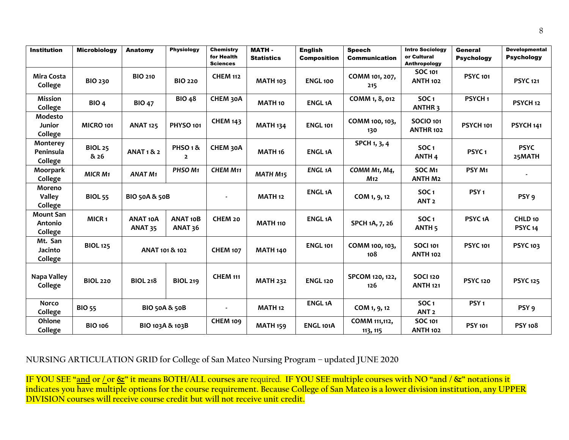| <b>Institution</b>                     | <b>Microbiology</b>    | Anatomy                               | <b>Physiology</b>                     | <b>Chemistry</b><br>for Health<br><b>Sciences</b> | <b>MATH-</b><br><b>Statistics</b> | <b>English</b><br><b>Composition</b> | <b>Speech</b><br><b>Communication</b> | <b>Intro Sociology</b><br>or Cultural<br><b>Anthropology</b> | General<br><b>Psychology</b> | <b>Developmental</b><br><b>Psychology</b> |
|----------------------------------------|------------------------|---------------------------------------|---------------------------------------|---------------------------------------------------|-----------------------------------|--------------------------------------|---------------------------------------|--------------------------------------------------------------|------------------------------|-------------------------------------------|
| <b>Mira Costa</b><br>College           | <b>BIO 230</b>         | <b>BIO 210</b>                        | <b>BIO 220</b>                        | <b>CHEM 112</b>                                   | <b>MATH 103</b>                   | <b>ENGL 100</b>                      | COMM 101, 207,<br>215                 | <b>SOC 101</b><br><b>ANTH 102</b>                            | <b>PSYC 101</b>              | <b>PSYC 121</b>                           |
| <b>Mission</b><br>College              | BIO <sub>4</sub>       | <b>BIO 47</b>                         | <b>BIO 48</b>                         | CHEM 30A                                          | MATH <sub>10</sub>                | <b>ENGL1A</b>                        | COMM 1, 8, 012                        | <b>SOC1</b><br><b>ANTHR3</b>                                 | PSYCH <sub>1</sub>           | PSYCH <sub>12</sub>                       |
| Modesto<br>Junior<br>College           | MICRO 101              | <b>ANAT 125</b>                       | PHYSO <sub>101</sub>                  | <b>CHEM 143</b>                                   | <b>MATH 134</b>                   | <b>ENGL 101</b>                      | COMM 100, 103,<br>130                 | <b>SOCIO 101</b><br><b>ANTHR 102</b>                         | PSYCH 101                    | <b>PSYCH 141</b>                          |
| Monterey<br>Peninsula<br>College       | <b>BIOL 25</b><br>& 26 | <b>ANAT 1 &amp; 2</b>                 | PHSO <sub>1</sub> &<br>$\overline{2}$ | CHEM 30A                                          | MATH <sub>16</sub>                | <b>ENGL1A</b>                        | SPCH 1, 3, 4                          | SOC <sub>1</sub><br>ANTH <sub>4</sub>                        | PSYC <sub>1</sub>            | <b>PSYC</b><br>25MATH                     |
| Moorpark<br>College                    | <b>MICR M1</b>         | <b>ANAT M1</b>                        | PHSO M1                               | <b>CHEM M11</b>                                   | <b>MATH M15</b>                   | <b>ENGL1A</b>                        | COMM M1, M4,<br>M <sub>12</sub>       | SOC <sub>M1</sub><br><b>ANTH M2</b>                          | PSY M1                       |                                           |
| Moreno<br><b>Valley</b><br>College     | <b>BIOL 55</b>         | <b>BIO 50A &amp; 50B</b>              |                                       | $\blacksquare$                                    | <b>MATH 12</b>                    | <b>ENGL1A</b>                        | COM 1, 9, 12                          | SOC <sub>1</sub><br>ANT <sub>2</sub>                         | PSY <sub>1</sub>             | PSY <sub>9</sub>                          |
| <b>Mount San</b><br>Antonio<br>College | MICR <sub>1</sub>      | <b>ANAT 10A</b><br>ANAT <sub>35</sub> | <b>ANAT 10B</b><br>ANAT <sub>36</sub> | CHEM 20                                           | <b>MATH 110</b>                   | <b>ENGL1A</b>                        | SPCH 1A, 7, 26                        | SOC <sub>1</sub><br>ANTH <sub>5</sub>                        | PSYC <sub>1</sub> A          | CHLD <sub>10</sub><br>PSYC <sub>14</sub>  |
| Mt. San<br>Jacinto<br>College          | <b>BIOL 125</b>        | ANAT 101 & 102                        |                                       | <b>CHEM 107</b>                                   | <b>MATH 140</b>                   | <b>ENGL 101</b>                      | COMM 100, 103,<br>108                 | <b>SOCI 101</b><br><b>ANTH 102</b>                           | <b>PSYC 101</b>              | <b>PSYC 103</b>                           |
| Napa Valley<br>College                 | <b>BIOL 220</b>        | <b>BIOL 218</b>                       | <b>BIOL 219</b>                       | <b>CHEM 111</b>                                   | <b>MATH 232</b>                   | <b>ENGL 120</b>                      | SPCOM 120, 122,<br>126                | <b>SOCI 120</b><br><b>ANTH 121</b>                           | <b>PSYC 120</b>              | <b>PSYC 125</b>                           |
| <b>Norco</b><br>College                | <b>BIO 55</b>          | <b>BIO 50A &amp; 50B</b>              |                                       |                                                   | <b>MATH 12</b>                    | <b>ENGL1A</b>                        | COM 1, 9, 12                          | SOC <sub>1</sub><br>ANT <sub>2</sub>                         | PSY <sub>1</sub>             | PSY <sub>9</sub>                          |
| Ohlone<br>College                      | <b>BIO 106</b>         | BIO 103A & 103B                       |                                       | <b>CHEM 109</b>                                   | <b>MATH 159</b>                   | ENGL 101A                            | COMM 111,112,<br>113, 115             | <b>SOC 101</b><br><b>ANTH 102</b>                            | <b>PSY 101</b>               | <b>PSY 108</b>                            |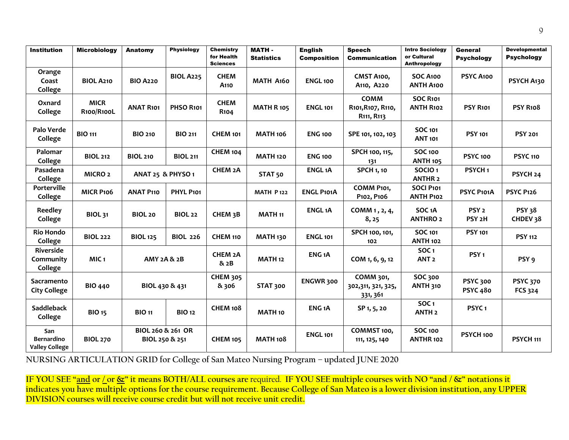| <b>Institution</b>                         | <b>Microbiology</b>       | Anatomy                             | <b>Physiology</b> | <b>Chemistry</b><br>for Health<br><b>Sciences</b> | <b>MATH-</b><br><b>Statistics</b> | <b>English</b><br><b>Composition</b> | <b>Speech</b><br><b>Communication</b>                                   | <b>Intro Sociology</b><br>or Cultural<br><b>Anthropology</b> | General<br><b>Psychology</b>           | <b>Developmental</b><br><b>Psychology</b> |
|--------------------------------------------|---------------------------|-------------------------------------|-------------------|---------------------------------------------------|-----------------------------------|--------------------------------------|-------------------------------------------------------------------------|--------------------------------------------------------------|----------------------------------------|-------------------------------------------|
| Orange<br>Coast<br>College                 | <b>BIOL A210</b>          | <b>BIO A220</b>                     | <b>BIOL A225</b>  | <b>CHEM</b><br>A <sub>110</sub>                   | MATH A160                         | <b>ENGL 100</b>                      | CMST A100,<br>A <sub>110</sub> , A <sub>220</sub>                       | SOC A100<br><b>ANTH A100</b>                                 | PSYC A100                              | PSYCH A130                                |
| Oxnard<br>College                          | <b>MICR</b><br>R100/R100L | <b>ANAT R101</b>                    | PHSO R101         | <b>CHEM</b><br><b>R104</b>                        | <b>MATH R 105</b>                 | <b>ENGL 101</b>                      | <b>COMM</b><br>R101, R107, R110,<br>R <sub>11</sub> , R <sub>11</sub> 3 | <b>SOC R101</b><br><b>ANTH R102</b>                          | <b>PSY R101</b>                        | <b>PSY R108</b>                           |
| Palo Verde<br>College                      | <b>BIO 111</b>            | <b>BIO 210</b>                      | <b>BIO 211</b>    | <b>CHEM 101</b>                                   | <b>MATH 106</b>                   | <b>ENG 100</b>                       | SPE 101, 102, 103                                                       | <b>SOC 101</b><br><b>ANT 101</b>                             | <b>PSY 101</b>                         | <b>PSY 201</b>                            |
| Palomar<br>College                         | <b>BIOL 212</b>           | <b>BIOL 210</b>                     | <b>BIOL 211</b>   | <b>CHEM 104</b>                                   | <b>MATH 120</b>                   | <b>ENG 100</b>                       | SPCH 100, 115,<br>131                                                   | <b>SOC 100</b><br><b>ANTH 105</b>                            | <b>PSYC 100</b>                        | <b>PSYC 110</b>                           |
| Pasadena<br>College                        | <b>MICRO 2</b>            | <b>ANAT 25 &amp; PHYSO 1</b>        |                   | CHEM 2A                                           | STAT <sub>50</sub>                | <b>ENGL1A</b>                        | <b>SPCH 1, 10</b>                                                       | SOCIO <sub>1</sub><br><b>ANTHR 2</b>                         | PSYCH <sub>1</sub>                     | PSYCH <sub>24</sub>                       |
| Porterville<br>College                     | <b>MICR P106</b>          | <b>ANAT P110</b>                    | PHYL P101         |                                                   | <b>MATH P122</b>                  | <b>ENGL P101A</b>                    | COMM P101,<br>P102, P106                                                | SOCI P101<br><b>ANTH P102</b>                                | PSYC P101A                             | <b>PSYC P126</b>                          |
| <b>Reedley</b><br>College                  | <b>BIOL 31</b>            | <b>BIOL 20</b>                      | <b>BIOL 22</b>    | CHEM <sub>3</sub> B                               | <b>MATH 11</b>                    | <b>ENGL1A</b>                        | COMM 1, 2, 4,<br>8, 25                                                  | SOC <sub>1</sub> A<br><b>ANTHRO 2</b>                        | PSY <sub>2</sub><br>PSY <sub>2</sub> H | <b>PSY 38</b><br>CHDEV 38                 |
| <b>Rio Hondo</b><br>College                | <b>BIOL 222</b>           | <b>BIOL 125</b>                     | <b>BIOL 226</b>   | <b>CHEM 110</b>                                   | <b>MATH 130</b>                   | <b>ENGL 101</b>                      | SPCH 100, 101,<br>102                                                   | <b>SOC 101</b><br><b>ANTH 102</b>                            | <b>PSY 101</b>                         | <b>PSY 112</b>                            |
| <b>Riverside</b><br>Community<br>College   | MIC <sub>1</sub>          | <b>AMY 2A &amp; 2B</b>              |                   | <b>CHEM 2A</b><br>& 2B                            | <b>MATH 12</b>                    | ENG <sub>1</sub> A                   | COM 1, 6, 9, 12                                                         | SOC <sub>1</sub><br>ANT <sub>2</sub>                         | PSY <sub>1</sub>                       | PSY <sub>9</sub>                          |
| Sacramento<br><b>City College</b>          | <b>BIO 440</b>            | BIOL 430 & 431                      |                   | <b>CHEM 305</b><br>& 306                          | <b>STAT 300</b>                   | ENGWR 300                            | COMM 301,<br>302,311, 321, 325,<br>331, 361                             | SOC 300<br><b>ANTH 310</b>                                   | <b>PSYC 300</b><br><b>PSYC 480</b>     | <b>PSYC 370</b><br><b>FCS 324</b>         |
| <b>Saddleback</b><br>College               | <b>BIO 15</b>             | <b>BIO 11</b>                       | <b>BIO 12</b>     | <b>CHEM 108</b>                                   | <b>MATH 10</b>                    | ENG <sub>1</sub> A                   | SP 1, 5, 20                                                             | SOC <sub>1</sub><br>ANTH <sub>2</sub>                        | PSYC <sub>1</sub>                      |                                           |
| San<br>Bernardino<br><b>Valley College</b> | <b>BIOL 270</b>           | BIOL 260 & 261 OR<br>BIOL 250 & 251 |                   | <b>CHEM 105</b>                                   | <b>MATH 108</b>                   | <b>ENGL 101</b>                      | COMMST 100,<br>111, 125, 140                                            | <b>SOC 100</b><br>ANTHR 102                                  | PSYCH <sub>100</sub>                   | PSYCH <sub>111</sub>                      |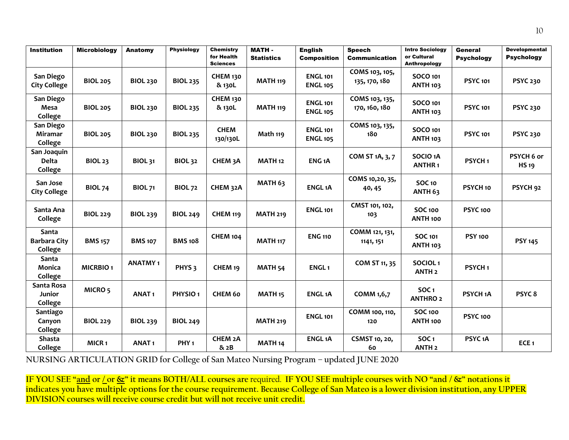| <b>Institution</b>                      | <b>Microbiology</b> | Anatomy           | <b>Physiology</b>   | <b>Chemistry</b><br>for Health               | <b>MATH-</b><br><b>Statistics</b> | <b>English</b><br><b>Composition</b> | <b>Speech</b><br><b>Communication</b> | <b>Intro Sociology</b><br>or Cultural              | General<br><b>Psychology</b> | <b>Developmental</b><br><b>Psychology</b> |
|-----------------------------------------|---------------------|-------------------|---------------------|----------------------------------------------|-----------------------------------|--------------------------------------|---------------------------------------|----------------------------------------------------|------------------------------|-------------------------------------------|
| San Diego<br><b>City College</b>        | <b>BIOL 205</b>     | <b>BIOL 230</b>   | <b>BIOL 235</b>     | <b>Sciences</b><br><b>CHEM 130</b><br>& 130L | <b>MATH 119</b>                   | <b>ENGL 101</b><br><b>ENGL 105</b>   | COMS 103, 105,<br>135, 170, 180       | Anthropology<br><b>SOCO 101</b><br><b>ANTH 103</b> | <b>PSYC 101</b>              | <b>PSYC 230</b>                           |
| San Diego<br>Mesa<br>College            | <b>BIOL 205</b>     | <b>BIOL 230</b>   | <b>BIOL 235</b>     | <b>CHEM 130</b><br>& 130L                    | <b>MATH 119</b>                   | <b>ENGL 101</b><br><b>ENGL 105</b>   | COMS 103, 135,<br>170, 160, 180       | <b>SOCO 101</b><br><b>ANTH 103</b>                 | <b>PSYC 101</b>              | <b>PSYC 230</b>                           |
| San Diego<br><b>Miramar</b><br>College  | <b>BIOL 205</b>     | <b>BIOL 230</b>   | <b>BIOL 235</b>     | <b>CHEM</b><br>130/130L                      | Math 119                          | <b>ENGL 101</b><br><b>ENGL 105</b>   | COMS 103, 135,<br>180                 | <b>SOCO 101</b><br><b>ANTH 103</b>                 | <b>PSYC 101</b>              | <b>PSYC 230</b>                           |
| San Joaquin<br><b>Delta</b><br>College  | <b>BIOL 23</b>      | <b>BIOL 31</b>    | <b>BIOL 32</b>      | CHEM <sub>3</sub> A                          | <b>MATH 12</b>                    | ENG <sub>1</sub> A                   | COM ST 1A, 3, 7                       | SOCIO <sub>1</sub> A<br>ANTHR <sub>1</sub>         | PSYCH <sub>1</sub>           | PSYCH 6 or<br><b>HS19</b>                 |
| San Jose<br><b>City College</b>         | <b>BIOL 74</b>      | <b>BIOL 71</b>    | <b>BIOL 72</b>      | CHEM 32A                                     | <b>MATH 63</b>                    | <b>ENGL1A</b>                        | COMS 10,20, 35,<br>40, 45             | <b>SOC 10</b><br>ANTH <sub>63</sub>                | PSYCH <sub>10</sub>          | PSYCH <sub>92</sub>                       |
| Santa Ana<br>College                    | <b>BIOL 229</b>     | <b>BIOL 239</b>   | <b>BIOL 249</b>     | <b>CHEM 119</b>                              | <b>MATH 219</b>                   | <b>ENGL 101</b>                      | CMST 101, 102,<br>103                 | <b>SOC 100</b><br><b>ANTH 100</b>                  | <b>PSYC 100</b>              |                                           |
| Santa<br><b>Barbara City</b><br>College | <b>BMS 157</b>      | <b>BMS 107</b>    | <b>BMS 108</b>      | <b>CHEM 104</b>                              | <b>MATH 117</b>                   | <b>ENG 110</b>                       | COMM 121, 131,<br>1141, 151           | SOC 101<br><b>ANTH 103</b>                         | <b>PSY 100</b>               | <b>PSY 145</b>                            |
| Santa<br>Monica<br>College              | <b>MICRBIO1</b>     | <b>ANATMY1</b>    | PHYS <sub>3</sub>   | CHEM <sub>19</sub>                           | <b>MATH 54</b>                    | ENGL <sub>1</sub>                    | COM ST 11, 35                         | SOCIOL <sub>1</sub><br>ANTH <sub>2</sub>           | PSYCH <sub>1</sub>           |                                           |
| Santa Rosa<br>Junior<br>College         | MICRO <sub>5</sub>  | <b>ANAT1</b>      | PHYSIO <sub>1</sub> | <b>CHEM 60</b>                               | MATH <sub>15</sub>                | <b>ENGL1A</b>                        | COMM 1,6,7                            | SOC <sub>1</sub><br><b>ANTHRO 2</b>                | PSYCH <sub>1</sub> A         | PSYC <sub>8</sub>                         |
| Santiago<br>Canyon<br>College           | <b>BIOL 229</b>     | <b>BIOL 239</b>   | <b>BIOL 249</b>     |                                              | <b>MATH 219</b>                   | <b>ENGL 101</b>                      | COMM 100, 110,<br>120                 | <b>SOC 100</b><br>ANTH <sub>100</sub>              | <b>PSYC 100</b>              |                                           |
| Shasta<br>College                       | MICR <sub>1</sub>   | ANAT <sub>1</sub> | PHY <sub>1</sub>    | CHEM <sub>2</sub> A<br>& 2B                  | MATH <sub>14</sub>                | <b>ENGL1A</b>                        | <b>CSMST 10, 20,</b><br>60            | SOC <sub>1</sub><br>ANTH <sub>2</sub>              | PSYC <sub>1</sub> A          | ECE <sub>1</sub>                          |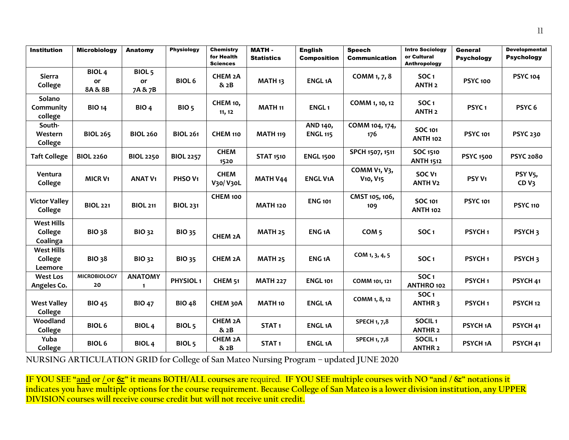| <b>Institution</b>                       | <b>Microbiology</b>              | <b>Anatomy</b>                     | <b>Physiology</b>    | <b>Chemistry</b><br>for Health<br><b>Sciences</b> | <b>MATH-</b><br><b>Statistics</b> | <b>English</b><br><b>Composition</b> | <b>Speech</b><br><b>Communication</b>                                       | <b>Intro Sociology</b><br>or Cultural<br><b>Anthropology</b> | General<br><b>Psychology</b> | <b>Developmental</b><br><b>Psychology</b> |
|------------------------------------------|----------------------------------|------------------------------------|----------------------|---------------------------------------------------|-----------------------------------|--------------------------------------|-----------------------------------------------------------------------------|--------------------------------------------------------------|------------------------------|-------------------------------------------|
| <b>Sierra</b><br>College                 | BIOL <sub>4</sub><br>or<br>8A&8B | BIOL <sub>5</sub><br>or<br>7A & 7B | <b>BIOL 6</b>        | CHEM <sub>2</sub> A<br>& 2B                       | MATH <sub>13</sub>                | <b>ENGL1A</b>                        | COMM 1, 7, 8                                                                | SOC <sub>1</sub><br>ANTH <sub>2</sub>                        | <b>PSYC 100</b>              | <b>PSYC 104</b>                           |
| Solano<br>Community<br>college           | <b>BIO 14</b>                    | BIO <sub>4</sub>                   | BIO <sub>5</sub>     | CHEM 10,<br>11, 12                                | <b>MATH 11</b>                    | ENGL <sub>1</sub>                    | COMM 1, 10, 12                                                              | SOC <sub>1</sub><br>ANTH <sub>2</sub>                        | PSYC <sub>1</sub>            | PSYC <sub>6</sub>                         |
| South-<br>Western<br>College             | <b>BIOL 265</b>                  | <b>BIOL 260</b>                    | <b>BIOL 261</b>      | CHEM 110                                          | <b>MATH 119</b>                   | AND 140,<br><b>ENGL 115</b>          | COMM 104, 174,<br>176                                                       | <b>SOC 101</b><br><b>ANTH 102</b>                            | <b>PSYC 101</b>              | <b>PSYC 230</b>                           |
| <b>Taft College</b>                      | <b>BIOL 2260</b>                 | <b>BIOL 2250</b>                   | <b>BIOL 2257</b>     | <b>CHEM</b><br>1520                               | <b>STAT 1510</b>                  | <b>ENGL 1500</b>                     | SPCH 1507, 1511                                                             | SOC 1510<br><b>ANTH 1512</b>                                 | <b>PSYC 1500</b>             | <b>PSYC 2080</b>                          |
| Ventura<br>College                       | <b>MICR V1</b>                   | <b>ANAT V1</b>                     | PHSO V1              | <b>CHEM</b><br>V30/V30L                           | <b>MATH V44</b>                   | <b>ENGL V1A</b>                      | COMM V <sub>1</sub> , V <sub>3</sub> ,<br>V <sub>10</sub> , V <sub>15</sub> | SOC <sub>V1</sub><br><b>ANTH V2</b>                          | PSY <sub>V1</sub>            | PSY <sub>V5</sub> ,<br>CD <sub>Y3</sub>   |
| <b>Victor Valley</b><br>College          | <b>BIOL 221</b>                  | <b>BIOL 211</b>                    | <b>BIOL 231</b>      | CHEM 100                                          | <b>MATH 120</b>                   | <b>ENG 101</b>                       | CMST 105, 106,<br>109                                                       | <b>SOC 101</b><br><b>ANTH 102</b>                            | <b>PSYC 101</b>              | <b>PSYC 110</b>                           |
| <b>West Hills</b><br>College<br>Coalinga | <b>BIO 38</b>                    | <b>BIO 32</b>                      | <b>BIO 35</b>        | CHEM <sub>2</sub> A                               | <b>MATH 25</b>                    | ENG <sub>1</sub> A                   | COM <sub>5</sub>                                                            | SOC <sub>1</sub>                                             | PSYCH <sub>1</sub>           | PSYCH <sub>3</sub>                        |
| <b>West Hills</b><br>College<br>Leemore  | <b>BIO 38</b>                    | <b>BIO 32</b>                      | <b>BIO 35</b>        | CHEM <sub>2</sub> A                               | <b>MATH 25</b>                    | ENG <sub>1</sub> A                   | COM 1, 3, 4, 5                                                              | SOC <sub>1</sub>                                             | PSYCH <sub>1</sub>           | PSYCH <sub>3</sub>                        |
| <b>West Los</b><br>Angeles Co.           | <b>MICROBIOLOGY</b><br>20        | <b>ANATOMY</b><br>$\mathbf{1}$     | PHYSIOL <sub>1</sub> | CHEM <sub>51</sub>                                | <b>MATH 227</b>                   | <b>ENGL 101</b>                      | COMM 101, 121                                                               | SOC <sub>1</sub><br>ANTHRO 102                               | PSYCH <sub>1</sub>           | PSYCH <sub>41</sub>                       |
| <b>West Valley</b><br>College            | <b>BIO 45</b>                    | <b>BIO 47</b>                      | <b>BIO 48</b>        | CHEM 30A                                          | <b>MATH 10</b>                    | <b>ENGL1A</b>                        | COMM 1, 8, 12                                                               | SOC <sub>1</sub><br><b>ANTHR3</b>                            | PSYCH <sub>1</sub>           | PSYCH <sub>12</sub>                       |
| Woodland<br>College                      | <b>BIOL 6</b>                    | <b>BIOL4</b>                       | BIOL <sub>5</sub>    | CHEM 2A<br>& 2B                                   | STAT <sub>1</sub>                 | <b>ENGL1A</b>                        | <b>SPECH 1, 7,8</b>                                                         | SOCIL <sub>1</sub><br><b>ANTHR 2</b>                         | PSYCH <sub>1</sub> A         | PSYCH <sub>41</sub>                       |
| Yuba<br>College                          | <b>BIOL 6</b>                    | <b>BIOL4</b>                       | BIOL <sub>5</sub>    | CHEM 2A<br>& 2B                                   | STAT <sub>1</sub>                 | <b>ENGL1A</b>                        | <b>SPECH 1, 7,8</b>                                                         | SOCIL <sub>1</sub><br><b>ANTHR 2</b>                         | PSYCH <sub>1</sub> A         | PSYCH <sub>41</sub>                       |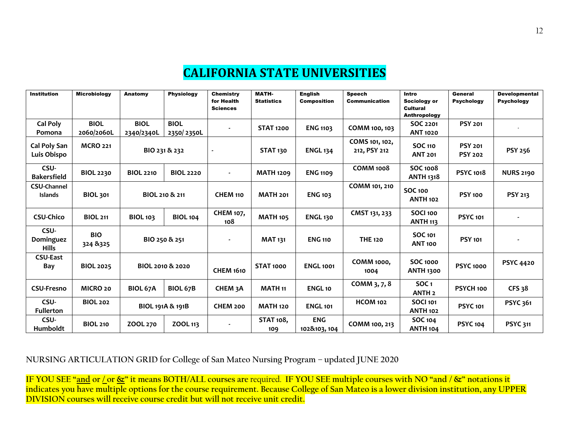## **CALIFORNIA STATE UNIVERSITIES**

| <b>Institution</b>                   | <b>Microbiology</b>       | Anatomy                   | <b>Physiology</b>         | <b>Chemistry</b><br>for Health<br><b>Sciences</b> | <b>MATH-</b><br><b>Statistics</b> | <b>English</b><br><b>Composition</b> | <b>Speech</b><br><b>Communication</b> | Intro<br>Sociology or<br><b>Cultural</b><br>Anthropology | General<br><b>Psychology</b>     | <b>Developmental</b><br><b>Psychology</b> |
|--------------------------------------|---------------------------|---------------------------|---------------------------|---------------------------------------------------|-----------------------------------|--------------------------------------|---------------------------------------|----------------------------------------------------------|----------------------------------|-------------------------------------------|
| Cal Poly<br>Pomona                   | <b>BIOL</b><br>2060/2060L | <b>BIOL</b><br>2340/2340L | <b>BIOL</b><br>2350/2350L |                                                   | <b>STAT 1200</b>                  | <b>ENG 1103</b>                      | COMM 100, 103                         | SOC 2201<br><b>ANT 1020</b>                              | <b>PSY 201</b>                   |                                           |
| Cal Poly San<br>Luis Obispo          | <b>MCRO 221</b>           |                           | BIO 231 & 232             |                                                   | <b>STAT 130</b>                   | <b>ENGL 134</b>                      | COMS 101, 102,<br>212, PSY 212        | <b>SOC 110</b><br><b>ANT 201</b>                         | <b>PSY 201</b><br><b>PSY 202</b> | PSY 256                                   |
| CSU-<br><b>Bakersfield</b>           | <b>BIOL 2230</b>          | <b>BIOL 2210</b>          | <b>BIOL 2220</b>          | $\sim$                                            | <b>MATH 1209</b>                  | <b>ENG 1109</b>                      | <b>COMM 1008</b>                      | <b>SOC 1008</b><br><b>ANTH 1318</b>                      | <b>PSYC 1018</b>                 | <b>NURS 2190</b>                          |
| <b>CSU-Channel</b><br><b>Islands</b> | <b>BIOL 301</b>           |                           | BIOL 210 & 211            | <b>CHEM 110</b>                                   | <b>MATH 201</b>                   | <b>ENG 103</b>                       | COMM 101, 210                         | <b>SOC 100</b><br><b>ANTH 102</b>                        | <b>PSY 100</b>                   | <b>PSY 213</b>                            |
| <b>CSU-Chico</b>                     | <b>BIOL 211</b>           | <b>BIOL 103</b>           | <b>BIOL 104</b>           | <b>CHEM 107,</b><br>108                           | <b>MATH 105</b>                   | <b>ENGL 130</b>                      | CMST 131, 233                         | <b>SOCI 100</b><br><b>ANTH 113</b>                       | <b>PSYC 101</b>                  |                                           |
| CSU-<br>Dominguez<br><b>Hills</b>    | <b>BIO</b><br>324 & 325   |                           | BIO 250 & 251             | $\blacksquare$                                    | <b>MAT 131</b>                    | <b>ENG 110</b>                       | <b>THE 120</b>                        | SOC 101<br><b>ANT 100</b>                                | <b>PSY 101</b>                   |                                           |
| <b>CSU-East</b><br>Bay               | <b>BIOL 2025</b>          |                           | BIOL 2010 & 2020          | <b>CHEM 1610</b>                                  | <b>STAT 1000</b>                  | <b>ENGL 1001</b>                     | <b>COMM 1000,</b><br>1004             | <b>SOC 1000</b><br><b>ANTH 1300</b>                      | <b>PSYC 1000</b>                 | <b>PSYC 4420</b>                          |
| <b>CSU-Fresno</b>                    | MICRO <sub>20</sub>       | <b>BIOL 67A</b>           | <b>BIOL 67B</b>           | CHEM <sub>3</sub> A                               | <b>MATH 11</b>                    | <b>ENGL10</b>                        | COMM 3, 7, 8                          | <b>SOC1</b><br><b>ANTH 2</b>                             | PSYCH 100                        | <b>CFS 38</b>                             |
| CSU-<br><b>Fullerton</b>             | <b>BIOL 202</b>           |                           | BIOL 191A & 191B          | <b>CHEM 200</b>                                   | <b>MATH 120</b>                   | <b>ENGL 101</b>                      | <b>HCOM 102</b>                       | <b>SOCI 101</b><br><b>ANTH 102</b>                       | <b>PSYC 101</b>                  | <b>PSYC 361</b>                           |
| CSU-<br>Humboldt                     | <b>BIOL 210</b>           | ZOOL 270                  | ZOOL 113                  | $\blacksquare$                                    | <b>STAT 108,</b><br>109           | <b>ENG</b><br>102&103, 104           | COMM 100, 213                         | <b>SOC 104</b><br><b>ANTH 104</b>                        | <b>PSYC 104</b>                  | <b>PSYC 311</b>                           |

**NURSING ARTICULATION GRID for College of San Mateo Nursing Program – updated JUNE 2020**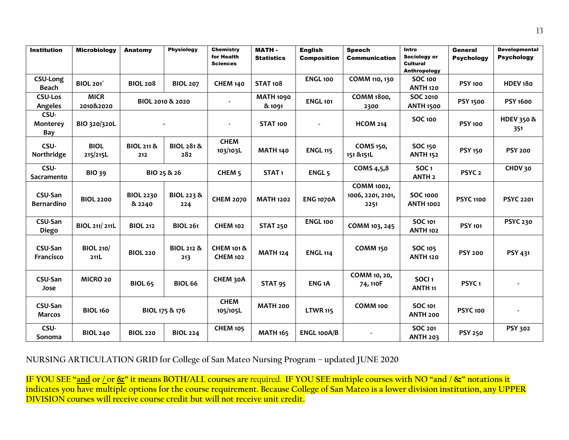| <b>Institution</b>                    | <b>Microbiology</b>      | Anatomy                      | <b>Physiology</b>            | <b>Chemistry</b><br>for Health           | <b>MATH-</b>               | <b>English</b>     | <b>Speech</b>                           | Intro<br>Sociology or                   | General           | <b>Developmental</b><br><b>Psychology</b> |
|---------------------------------------|--------------------------|------------------------------|------------------------------|------------------------------------------|----------------------------|--------------------|-----------------------------------------|-----------------------------------------|-------------------|-------------------------------------------|
|                                       |                          |                              |                              | <b>Sciences</b>                          | <b>Statistics</b>          | <b>Composition</b> | <b>Communication</b>                    | <b>Cultural</b><br>Anthropology         | <b>Psychology</b> |                                           |
| <b>CSU-Long</b><br>Beach              | <b>BIOL 201</b>          | <b>BIOL 208</b>              | <b>BIOL 207</b>              | <b>CHEM 140</b>                          | <b>STAT 108</b>            | <b>ENGL 100</b>    | COMM 110, 130                           | <b>SOC 100</b><br><b>ANTH 120</b>       | <b>PSY 100</b>    | HDEV <sub>180</sub>                       |
| <b>CSU-Los</b><br>Angeles             | <b>MICR</b><br>2010&2020 |                              | BIOL 2010 & 2020             |                                          | <b>MATH 1090</b><br>& 1091 | <b>ENGL 101</b>    | <b>COMM 1800,</b><br>2300               | SOC 2010<br><b>ANTH 1500</b>            | <b>PSY 1500</b>   | <b>PSY 1600</b>                           |
| CSU-<br><b>Monterey</b><br><b>Bay</b> | BIO 320/320L             |                              |                              | $\blacksquare$                           | STAT <sub>100</sub>        | $\blacksquare$     | <b>HCOM 214</b>                         | <b>SOC 100</b>                          | <b>PSY 100</b>    | <b>HDEV 350 &amp;</b><br>351              |
| CSU-<br>Northridge                    | <b>BIOL</b><br>215/215L  | <b>BIOL 211 &amp;</b><br>212 | <b>BIOL 281 &amp;</b><br>282 | <b>CHEM</b><br>103/103L                  | <b>MATH 140</b>            | <b>ENGL 115</b>    | <b>COMS 150,</b><br>151 & 151L          | <b>SOC 150</b><br><b>ANTH 152</b>       | <b>PSY 150</b>    | <b>PSY 200</b>                            |
| CSU-<br>Sacramento                    | <b>BIO 39</b>            |                              | BIO 25 & 26                  | CHEM <sub>5</sub>                        | STAT <sub>1</sub>          | ENGL <sub>5</sub>  | COMS 4,5,8                              | <b>SOC1</b><br><b>ANTH 2</b>            | PSYC <sub>2</sub> | CHDV 30                                   |
| CSU-San<br><b>Bernardino</b>          | <b>BIOL 2200</b>         | <b>BIOL 2230</b><br>& 2240   | BIOL 223 &<br>224            | <b>CHEM 2070</b>                         | <b>MATH 1202</b>           | <b>ENG 1070A</b>   | COMM 1002,<br>1006, 2201, 2101,<br>2251 | <b>SOC 1000</b><br><b>ANTH 1002</b>     | <b>PSYC 1100</b>  | <b>PSYC 2201</b>                          |
| CSU-San<br><b>Diego</b>               | BIOL 211/211L            | <b>BIOL 212</b>              | <b>BIOL 261</b>              | <b>CHEM 102</b>                          | <b>STAT 250</b>            | <b>ENGL 100</b>    | COMM 103, 245                           | <b>SOC 101</b><br><b>ANTH 102</b>       | <b>PSY 101</b>    | <b>PSYC 230</b>                           |
| CSU-San<br>Francisco                  | <b>BIOL 210/</b><br>211L | <b>BIOL 220</b>              | <b>BIOL 212 &amp;</b><br>213 | <b>CHEM 101 &amp;</b><br><b>CHEM 102</b> | <b>MATH 124</b>            | <b>ENGL 114</b>    | COMM <sub>150</sub>                     | <b>SOC 105</b><br><b>ANTH 120</b>       | <b>PSY 200</b>    | PSY 431                                   |
| CSU-San<br>Jose                       | MICRO 20                 | <b>BIOL 65</b>               | <b>BIOL 66</b>               | CHEM 30A                                 | STAT <sub>95</sub>         | ENG <sub>1</sub> A | COMM 10, 20,<br>74, 110F                | SOCI <sub>1</sub><br>ANTH <sub>11</sub> | PSYC <sub>1</sub> |                                           |
| CSU-San<br>Marcos                     | <b>BIOL 160</b>          |                              | BIOL 175 & 176               | <b>CHEM</b><br>105/105L                  | <b>MATH 200</b>            | <b>LTWR 115</b>    | COMM 100                                | <b>SOC 101</b><br><b>ANTH 200</b>       | <b>PSYC 100</b>   |                                           |
| CSU-<br>Sonoma                        | <b>BIOL 240</b>          | <b>BIOL 220</b>              | <b>BIOL 224</b>              | <b>CHEM 105</b>                          | <b>MATH 165</b>            | <b>ENGL 100A/B</b> |                                         | <b>SOC 201</b><br><b>ANTH 203</b>       | <b>PSY 250</b>    | <b>PSY 302</b>                            |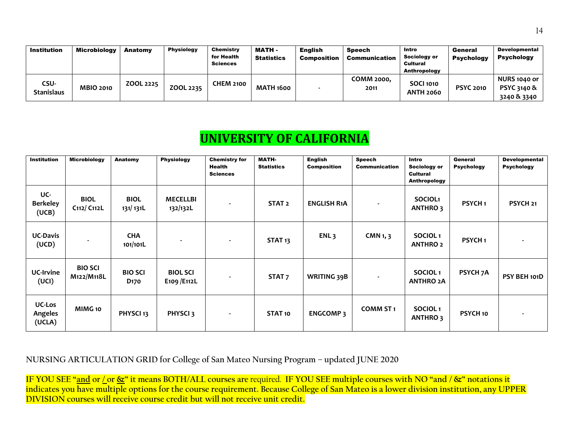| <b>Institution</b>        | <b>Microbiology</b> | Anatomy   | <b>Physiology</b> | Chemistry<br>for Health<br><b>Sciences</b> | <b>MATH -</b><br><b>Statistics</b> | <b>English</b><br><b>Composition</b> | <b>Speech</b><br>Communication | Intro<br>Sociology or<br><b>Cultural</b><br>Anthropology | General<br><b>Psychology</b> | <b>Developmental</b><br><b>Psychology</b>                    |
|---------------------------|---------------------|-----------|-------------------|--------------------------------------------|------------------------------------|--------------------------------------|--------------------------------|----------------------------------------------------------|------------------------------|--------------------------------------------------------------|
| CSU-<br><b>Stanislaus</b> | <b>MBIO 2010</b>    | ZOOL 2225 | ZOOL 2235         | <b>CHEM 2100</b>                           | <b>MATH 1600</b>                   |                                      | COMM 2000.<br>2011             | <b>SOCI 1010</b><br><b>ANTH 2060</b>                     | <b>PSYC 2010</b>             | <b>NURS 1040 or</b><br><b>PSYC 3140 &amp;</b><br>3240 & 3340 |

# **UNIVERSITY OF CALIFORNIA**

| <b>Institution</b>                 | <b>Microbiology</b>                                 | Anatomy                            | <b>Physiology</b>               | <b>Chemistry for</b><br><b>Health</b><br><b>Sciences</b> | <b>MATH-</b><br><b>Statistics</b> | <b>English</b><br><b>Composition</b> | <b>Speech</b><br><b>Communication</b> | Intro<br><b>Sociology or</b><br><b>Cultural</b><br>Anthropology | General<br><b>Psychology</b> | <b>Developmental</b><br><b>Psychology</b> |
|------------------------------------|-----------------------------------------------------|------------------------------------|---------------------------------|----------------------------------------------------------|-----------------------------------|--------------------------------------|---------------------------------------|-----------------------------------------------------------------|------------------------------|-------------------------------------------|
| UC-<br><b>Berkeley</b><br>(UCB)    | <b>BIOL</b><br>C <sub>112</sub> /C <sub>112</sub> L | <b>BIOL</b><br>131/131L            | <b>MECELLBI</b><br>132/132L     |                                                          | STAT <sub>2</sub>                 | <b>ENGLISH R1A</b>                   | $\blacksquare$                        | SOCIOL <sub>1</sub><br><b>ANTHRO3</b>                           | PSYCH <sub>1</sub>           | PSYCH <sub>21</sub>                       |
| <b>UC-Davis</b><br>(UCD)           |                                                     | <b>CHA</b><br>101/101L             |                                 |                                                          | STAT <sub>13</sub>                | ENL <sub>3</sub>                     | CMN <sub>1</sub> , $3$                | SOCIOL <sub>1</sub><br><b>ANTHRO 2</b>                          | PSYCH <sub>1</sub>           |                                           |
| <b>UC-Irvine</b><br>(UCI)          | <b>BIO SCI</b><br>M122/M118L                        | <b>BIO SCI</b><br>D <sub>170</sub> | <b>BIOL SCI</b><br>E109 / E112L |                                                          | STAT <sub>7</sub>                 | <b>WRITING 39B</b>                   | $\blacksquare$                        | SOCIOL <sub>1</sub><br><b>ANTHRO 2A</b>                         | <b>PSYCH 7A</b>              | PSY BEH 101D                              |
| <b>UC-Los</b><br>Angeles<br>(UCLA) | MIMG 10                                             | PHYSCI <sub>13</sub>               | PHYSCI <sub>3</sub>             | $\blacksquare$                                           | STAT 10                           | <b>ENGCOMP3</b>                      | <b>COMM ST1</b>                       | SOCIOL <sub>1</sub><br>ANTHRO 3                                 | PSYCH 10                     |                                           |

#### **NURSING ARTICULATION GRID for College of San Mateo Nursing Program – updated JUNE 2020**